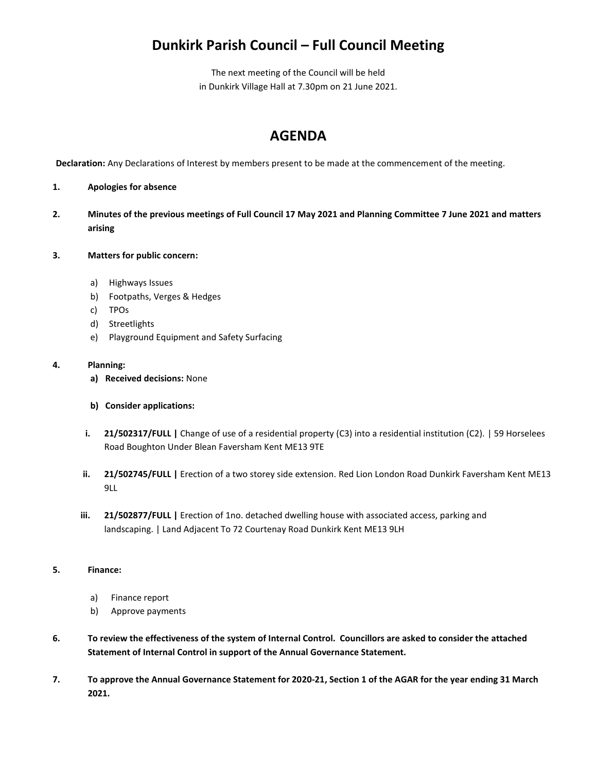## **Dunkirk Parish Council – Full Council Meeting**

The next meeting of the Council will be held in Dunkirk Village Hall at 7.30pm on 21 June 2021.

## **AGENDA**

**Declaration:** Any Declarations of Interest by members present to be made at the commencement of the meeting.

- **1. Apologies for absence**
- **2. Minutes of the previous meetings of Full Council 17 May 2021 and Planning Committee 7 June 2021 and matters arising**
- **3. Matters for public concern:**
	- a) Highways Issues
	- b) Footpaths, Verges & Hedges
	- c) TPOs
	- d) Streetlights
	- e) Playground Equipment and Safety Surfacing

## **4. Planning:**

- **a) Received decisions:** None
- **b) Consider applications:**
- **i. 21/502317/FULL |** Change of use of a residential property (C3) into a residential institution (C2). | 59 Horselees Road Boughton Under Blean Faversham Kent ME13 9TE
- **ii. 21/502745/FULL |** Erection of a two storey side extension. Red Lion London Road Dunkirk Faversham Kent ME13 9LL
- **iii. 21/502877/FULL |** Erection of 1no. detached dwelling house with associated access, parking and landscaping. | Land Adjacent To 72 Courtenay Road Dunkirk Kent ME13 9LH

## **5. Finance:**

- a) Finance report
- b) Approve payments
- **6. To review the effectiveness of the system of Internal Control. Councillors are asked to consider the attached Statement of Internal Control in support of the Annual Governance Statement.**
- **7. To approve the Annual Governance Statement for 2020-21, Section 1 of the AGAR for the year ending 31 March 2021.**